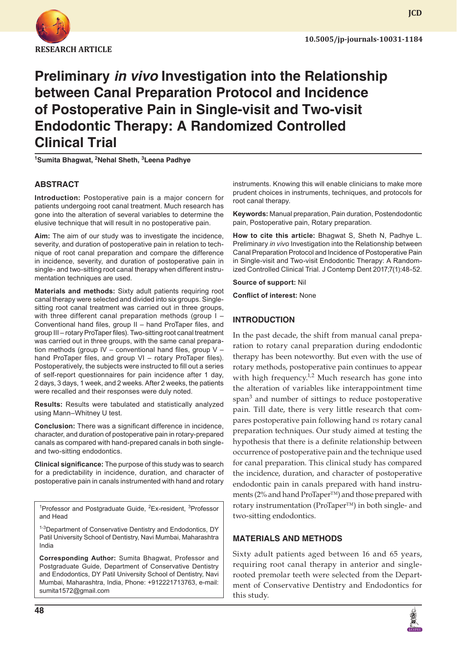

# **Preliminary** *in vivo* **Investigation into the Relationship between Canal Preparation Protocol and Incidence of Postoperative Pain in Single-visit and Two-visit Endodontic Therapy: A Randomized Controlled Clinical Trial**

<sup>1</sup>Sumita Bhagwat, <sup>2</sup>Nehal Sheth, <sup>3</sup>Leena Padhye

# **ABSTRACT**

**Introduction:** Postoperative pain is a major concern for patients undergoing root canal treatment. Much research has gone into the alteration of several variables to determine the elusive technique that will result in no postoperative pain.

**Aim:** The aim of our study was to investigate the incidence, severity, and duration of postoperative pain in relation to technique of root canal preparation and compare the difference in incidence, severity, and duration of postoperative pain in single- and two-sitting root canal therapy when different instrumentation techniques are used.

**Materials and methods:** Sixty adult patients requiring root canal therapy were selected and divided into six groups. Singlesitting root canal treatment was carried out in three groups, with three different canal preparation methods (group I – Conventional hand files, group II – hand ProTaper files, and group III – rotary ProTaper files). Two-sitting root canal treatment was carried out in three groups, with the same canal preparation methods (group IV – conventional hand files, group V – hand ProTaper files, and group VI – rotary ProTaper files). Postoperatively, the subjects were instructed to fill out a series of self-report questionnaires for pain incidence after 1 day, 2 days, 3 days, 1 week, and 2 weeks. After 2 weeks, the patients were recalled and their responses were duly noted.

**Results:** Results were tabulated and statistically analyzed using Mann–Whitney U test.

**Conclusion:** There was a significant difference in incidence, character, and duration of postoperative pain in rotary-prepared canals as compared with hand-prepared canals in both singleand two-sitting endodontics.

**Clinical significance:** The purpose of this study was to search for a predictability in incidence, duration, and character of postoperative pain in canals instrumented with hand and rotary

<sup>1</sup>Professor and Postgraduate Guide, <sup>2</sup>Ex-resident, <sup>3</sup>Professor and Head

<sup>1-3</sup>Department of Conservative Dentistry and Endodontics, DY Patil University School of Dentistry, Navi Mumbai, Maharashtra India

**Corresponding Author:** Sumita Bhagwat, Professor and Postgraduate Guide, Department of Conservative Dentistry and Endodontics, DY Patil University School of Dentistry, Navi Mumbai, Maharashtra, India, Phone: +912221713763, e-mail: sumita1572@gmail.com

instruments. Knowing this will enable clinicians to make more prudent choices in instruments, techniques, and protocols for root canal therapy.

**Keywords:** Manual preparation, Pain duration, Postendodontic pain, Postoperative pain, Rotary preparation.

**How to cite this article:** Bhagwat S, Sheth N, Padhye L. Preliminary *in vivo* Investigation into the Relationship between Canal Preparation Protocol and Incidence of Postoperative Pain in Single-visit and Two-visit Endodontic Therapy: A Randomized Controlled Clinical Trial. J Contemp Dent 2017;7(1):48-52.

**Source of support:** Nil

**Conflict of interest:** None

### **INTRODUCTION**

In the past decade, the shift from manual canal preparation to rotary canal preparation during endodontic therapy has been noteworthy. But even with the use of rotary methods, postoperative pain continues to appear with high frequency.<sup>1,2</sup> Much research has gone into the alteration of variables like interappointment time span<sup>3</sup> and number of sittings to reduce postoperative pain. Till date, there is very little research that compares postoperative pain following hand *vs* rotary canal preparation techniques. Our study aimed at testing the hypothesis that there is a definite relationship between occurrence of postoperative pain and the technique used for canal preparation. This clinical study has compared the incidence, duration, and character of postoperative endodontic pain in canals prepared with hand instruments (2% and hand ProTaper™) and those prepared with rotary instrumentation (ProTaper™) in both single- and two-sitting endodontics.

### **MATERIALS AND METHODS**

Sixty adult patients aged between 16 and 65 years, requiring root canal therapy in anterior and singlerooted premolar teeth were selected from the Department of Conservative Dentistry and Endodontics for this study.

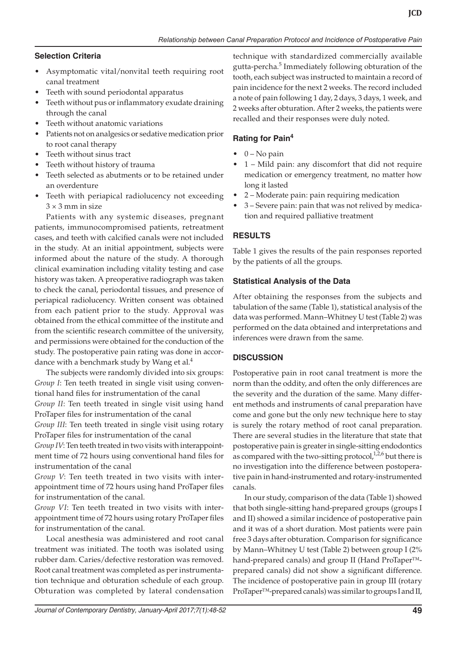### **Selection Criteria**

- • Asymptomatic vital/nonvital teeth requiring root canal treatment
- Teeth with sound periodontal apparatus
- Teeth without pus or inflammatory exudate draining through the canal
- Teeth without anatomic variations
- Patients not on analgesics or sedative medication prior to root canal therapy
- Teeth without sinus tract
- Teeth without history of trauma
- Teeth selected as abutments or to be retained under an overdenture
- Teeth with periapical radiolucency not exceeding  $3 \times 3$  mm in size

Patients with any systemic diseases, pregnant patients, immunocompromised patients, retreatment cases, and teeth with calcified canals were not included in the study. At an initial appointment, subjects were informed about the nature of the study. A thorough clinical examination including vitality testing and case history was taken. A preoperative radiograph was taken to check the canal, periodontal tissues, and presence of periapical radiolucency. Written consent was obtained from each patient prior to the study. Approval was obtained from the ethical committee of the institute and from the scientific research committee of the university, and permissions were obtained for the conduction of the study. The postoperative pain rating was done in accordance with a benchmark study by Wang et al.<sup>4</sup>

The subjects were randomly divided into six groups: *Group I*: Ten teeth treated in single visit using conventional hand files for instrumentation of the canal

*Group II*: Ten teeth treated in single visit using hand ProTaper files for instrumentation of the canal

*Group III*: Ten teeth treated in single visit using rotary ProTaper files for instrumentation of the canal

*Group IV*: Ten teeth treated in two visits with interappointment time of 72 hours using conventional hand files for instrumentation of the canal

*Group V*: Ten teeth treated in two visits with interappointment time of 72 hours using hand ProTaper files for instrumentation of the canal.

*Group VI*: Ten teeth treated in two visits with interappointment time of 72 hours using rotary ProTaper files for instrumentation of the canal.

Local anesthesia was administered and root canal treatment was initiated. The tooth was isolated using rubber dam. Caries/defective restoration was removed. Root canal treatment was completed as per instrumentation technique and obturation schedule of each group. Obturation was completed by lateral condensation

technique with standardized commercially available gutta-percha.<sup>5</sup> Immediately following obturation of the tooth, each subject was instructed to maintain a record of pain incidence for the next 2 weeks. The record included a note of pain following 1 day, 2 days, 3 days, 1 week, and 2 weeks after obturation. After 2 weeks, the patients were recalled and their responses were duly noted.

# **Rating for Pain4**

- $\bullet$  0 No pain
- $1 -$  Mild pain: any discomfort that did not require medication or emergency treatment, no matter how long it lasted
- • 2 Moderate pain: pain requiring medication
- • 3 Severe pain: pain that was not relived by medication and required palliative treatment

# **RESULTS**

Table 1 gives the results of the pain responses reported by the patients of all the groups.

# **Statistical Analysis of the Data**

After obtaining the responses from the subjects and tabulation of the same (Table 1), statistical analysis of the data was performed. Mann–Whitney U test (Table 2) was performed on the data obtained and interpretations and inferences were drawn from the same.

# **DISCUSSION**

Postoperative pain in root canal treatment is more the norm than the oddity, and often the only differences are the severity and the duration of the same. Many different methods and instruments of canal preparation have come and gone but the only new technique here to stay is surely the rotary method of root canal preparation. There are several studies in the literature that state that postoperative pain is greater in single-sitting endodontics as compared with the two-sitting protocol, $1,2,6$  but there is no investigation into the difference between postoperative pain in hand-instrumented and rotary-instrumented canals.

In our study, comparison of the data (Table 1) showed that both single-sitting hand-prepared groups (groups I and II) showed a similar incidence of postoperative pain and it was of a short duration. Most patients were pain free 3 days after obturation. Comparison for significance by Mann–Whitney U test (Table 2) between group I (2% hand-prepared canals) and group II (Hand ProTaper™ prepared canals) did not show a significant difference. The incidence of postoperative pain in group III (rotary ProTaper™-prepared canals) was similar to groups I and II,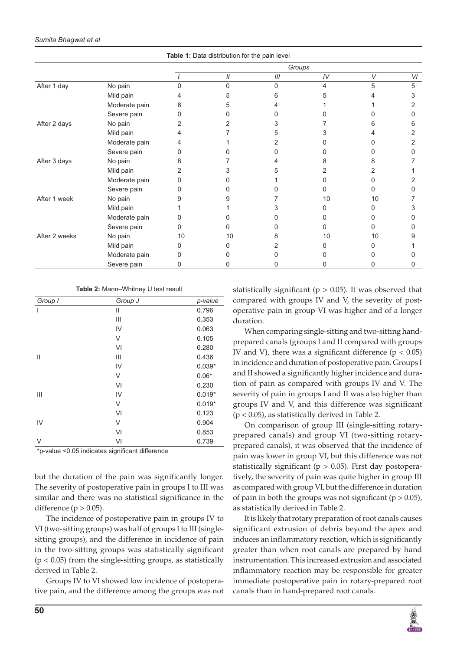| <b>Table 1.</b> Data distribution for the pair lever |               |        |    |                        |    |    |    |
|------------------------------------------------------|---------------|--------|----|------------------------|----|----|----|
|                                                      |               | Groups |    |                        |    |    |    |
|                                                      |               |        | 11 | $\ensuremath{I\!I\!I}$ | IV | V  | VI |
| After 1 day                                          | No pain       | O      | U  | 0                      | 4  | 5  | 5  |
|                                                      | Mild pain     |        | 5  | ห                      |    |    | 3  |
|                                                      | Moderate pain | 6      | 5  |                        |    |    |    |
|                                                      | Severe pain   |        |    |                        |    |    |    |
| After 2 days                                         | No pain       |        |    |                        |    |    | 6  |
|                                                      | Mild pain     |        |    |                        |    |    |    |
|                                                      | Moderate pain |        |    |                        |    |    |    |
|                                                      | Severe pain   |        |    |                        |    |    |    |
| After 3 days                                         | No pain       |        |    |                        |    | 8  |    |
|                                                      | Mild pain     |        |    |                        |    |    |    |
|                                                      | Moderate pain |        |    |                        |    |    |    |
|                                                      | Severe pain   |        |    |                        |    |    |    |
| After 1 week                                         | No pain       |        |    |                        | 10 | 10 |    |
|                                                      | Mild pain     |        |    |                        |    | n  | З  |
|                                                      | Moderate pain |        |    |                        |    |    |    |
|                                                      | Severe pain   |        |    |                        |    | O  |    |
| After 2 weeks                                        | No pain       | 10     | 10 |                        | 10 | 10 | 9  |
|                                                      | Mild pain     |        |    |                        |    | U  |    |
|                                                      | Moderate pain |        |    |                        |    |    |    |
|                                                      | Severe pain   |        |    |                        |    | 0  |    |

**Table 1:** Data distribution for the pain level

**Table 2:** Mann–Whitney U test result

| Group J      | p-value  |
|--------------|----------|
| $\mathbf{I}$ | 0.796    |
| Ш            | 0.353    |
| IV           | 0.063    |
| V            | 0.105    |
| VI           | 0.280    |
| Ш            | 0.436    |
| IV           | $0.039*$ |
| V            | $0.06*$  |
| VI           | 0.230    |
| IV           | $0.019*$ |
| V            | $0.019*$ |
| VI           | 0.123    |
| V            | 0.904    |
| VI           | 0.853    |
| VI           | 0.739    |
|              |          |

\*p-value <0.05 indicates significant difference

but the duration of the pain was significantly longer. The severity of postoperative pain in groups I to III was similar and there was no statistical significance in the difference ( $p > 0.05$ ).

The incidence of postoperative pain in groups IV to VI (two-sitting groups) was half of groups I to III (singlesitting groups), and the difference in incidence of pain in the two-sitting groups was statistically significant  $(p < 0.05)$  from the single-sitting groups, as statistically derived in Table 2.

Groups IV to VI showed low incidence of postoperative pain, and the difference among the groups was not statistically significant ( $p > 0.05$ ). It was observed that compared with groups IV and V, the severity of postoperative pain in group VI was higher and of a longer duration.

When comparing single-sitting and two-sitting handprepared canals (groups I and II compared with groups IV and V), there was a significant difference ( $p < 0.05$ ) in incidence and duration of postoperative pain. Groups I and II showed a significantly higher incidence and duration of pain as compared with groups IV and V. The severity of pain in groups I and II was also higher than groups IV and V, and this difference was significant  $(p < 0.05)$ , as statistically derived in Table 2.

On comparison of group III (single-sitting rotaryprepared canals) and group VI (two-sitting rotaryprepared canals), it was observed that the incidence of pain was lower in group VI, but this difference was not statistically significant ( $p > 0.05$ ). First day postoperatively, the severity of pain was quite higher in group III as compared with group VI, but the difference in duration of pain in both the groups was not significant ( $p > 0.05$ ), as statistically derived in Table 2.

It is likely that rotary preparation of root canals causes significant extrusion of debris beyond the apex and induces an inflammatory reaction, which is significantly greater than when root canals are prepared by hand instrumentation. This increased extrusion and associated inflammatory reaction may be responsible for greater immediate postoperative pain in rotary-prepared root canals than in hand-prepared root canals.

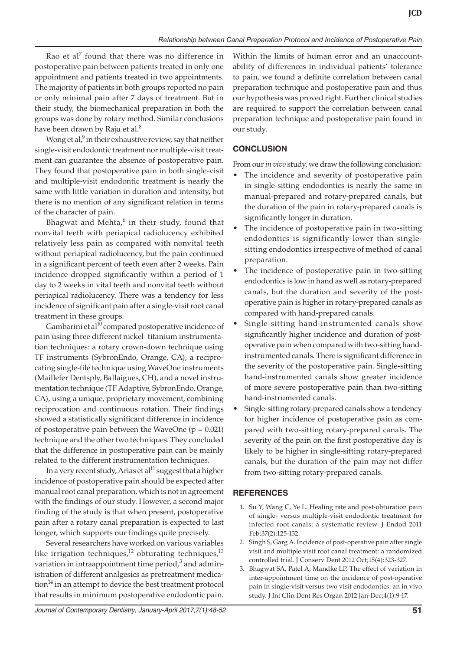Rao et al<sup>7</sup> found that there was no difference in postoperative pain between patients treated in only one appointment and patients treated in two appointments. The majority of patients in both groups reported no pain or only minimal pain after 7 days of treatment. But in their study, the biomechanical preparation in both the groups was done by rotary method. Similar conclusions have been drawn by Raju et al.<sup>8</sup>

Wong et al,<sup>9</sup> in their exhaustive review, say that neither single-visit endodontic treatment nor multiple-visit treatment can guarantee the absence of postoperative pain. They found that postoperative pain in both single-visit and multiple-visit endodontic treatment is nearly the same with little variation in duration and intensity, but there is no mention of any significant relation in terms of the character of pain.

Bhagwat and Mehta,<sup>6</sup> in their study, found that nonvital teeth with periapical radiolucency exhibited relatively less pain as compared with nonvital teeth without periapical radiolucency, but the pain continued in a significant percent of teeth even after 2 weeks. Pain incidence dropped significantly within a period of 1 day to 2 weeks in vital teeth and nonvital teeth without periapical radiolucency. There was a tendency for less incidence of significant pain after a single-visit root canal treatment in these groups.

Gambarini et al<sup>10</sup> compared postoperative incidence of pain using three different nickel–titanium instrumentation techniques: a rotary crown-down technique using TF instruments (SybronEndo, Orange, CA), a reciprocating single-file technique using WaveOne instruments (Maillefer Dentsply, Ballaigues, CH), and a novel instrumentation technique (TF Adaptive, SybronEndo, Orange, CA), using a unique, proprietary movement, combining reciprocation and continuous rotation. Their findings showed a statistically significant difference in incidence of postoperative pain between the WaveOne ( $p = 0.021$ ) technique and the other two techniques. They concluded that the difference in postoperative pain can be mainly related to the different instrumentation techniques.

In a very recent study, Arias et al $^{11}$  suggest that a higher incidence of postoperative pain should be expected after manual root canal preparation, which is not in agreement with the findings of our study. However, a second major finding of the study is that when present, postoperative pain after a rotary canal preparation is expected to last longer, which supports our findings quite precisely.

Several researchers have worked on various variables like irrigation techniques, $12$  obturating techniques, $13$ variation in intraappointment time period, $3$  and administration of different analgesics as pretreatment medication<sup>14</sup> in an attempt to device the best treatment protocol that results in minimum postoperative endodontic pain.

Within the limits of human error and an unaccountability of differences in individual patients' tolerance to pain, we found a definite correlation between canal preparation technique and postoperative pain and thus our hypothesis was proved right. Further clinical studies are required to support the correlation between canal preparation technique and postoperative pain found in our study.

#### **CONCLUSION**

From our*in vivo* study, we draw the following conclusion:

- The incidence and severity of postoperative pain in single-sitting endodontics is nearly the same in manual-prepared and rotary-prepared canals, but the duration of the pain in rotary-prepared canals is significantly longer in duration.
- The incidence of postoperative pain in two-sitting endodontics is significantly lower than singlesitting endodontics irrespective of method of canal preparation.
- The incidence of postoperative pain in two-sitting endodontics is low in hand as well as rotary-prepared canals, but the duration and severity of the postoperative pain is higher in rotary-prepared canals as compared with hand-prepared canals.
- Single-sitting hand-instrumented canals show significantly higher incidence and duration of postoperative pain when compared with two-sitting handinstrumented canals. There is significant difference in the severity of the postoperative pain. Single-sitting hand-instrumented canals show greater incidence of more severe postoperative pain than two-sitting hand-instrumented canals.
- Single-sitting rotary-prepared canals show a tendency for higher incidence of postoperative pain as compared with two-sitting rotary-prepared canals. The severity of the pain on the first postoperative day is likely to be higher in single-sitting rotary-prepared canals, but the duration of the pain may not differ from two-sitting rotary-prepared canals.

#### **REFERENCES**

- 1. Su Y, Wang C, Ye L. Healing rate and post-obturation pain of single- versus multiple-visit endodontic treatment for infected root canals: a systematic review. J Endod 2011 Feb;37(2):125-132.
- 2. Singh S, Garg A. Incidence of post-operative pain after single visit and multiple visit root canal treatment: a randomized controlled trial. J Conserv Dent 2012 Oct;15(4):323-327.
- 3. Bhagwat SA, Patel A, Mandke LP. The effect of variation in inter-appointment time on the incidence of post-operative pain in single-visit versus two visit endodontics: an in vivo study. J Int Clin Dent Res Organ 2012 Jan-Dec;4(1):9-17.